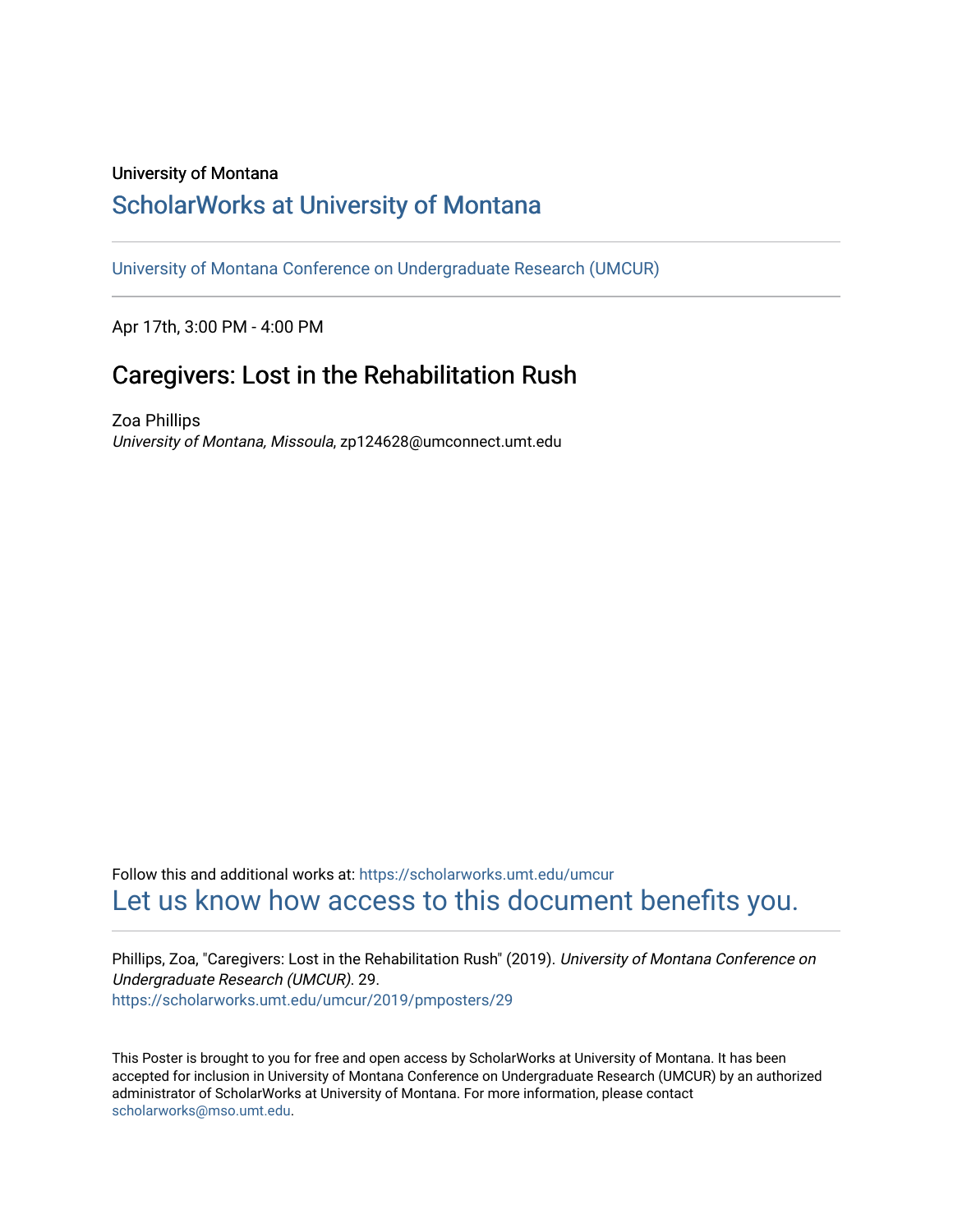## University of Montana

## [ScholarWorks at University of Montana](https://scholarworks.umt.edu/)

[University of Montana Conference on Undergraduate Research \(UMCUR\)](https://scholarworks.umt.edu/umcur)

Apr 17th, 3:00 PM - 4:00 PM

## Caregivers: Lost in the Rehabilitation Rush

Zoa Phillips University of Montana, Missoula, zp124628@umconnect.umt.edu

Follow this and additional works at: [https://scholarworks.umt.edu/umcur](https://scholarworks.umt.edu/umcur?utm_source=scholarworks.umt.edu%2Fumcur%2F2019%2Fpmposters%2F29&utm_medium=PDF&utm_campaign=PDFCoverPages)  [Let us know how access to this document benefits you.](https://goo.gl/forms/s2rGfXOLzz71qgsB2) 

Phillips, Zoa, "Caregivers: Lost in the Rehabilitation Rush" (2019). University of Montana Conference on Undergraduate Research (UMCUR). 29. [https://scholarworks.umt.edu/umcur/2019/pmposters/29](https://scholarworks.umt.edu/umcur/2019/pmposters/29?utm_source=scholarworks.umt.edu%2Fumcur%2F2019%2Fpmposters%2F29&utm_medium=PDF&utm_campaign=PDFCoverPages) 

This Poster is brought to you for free and open access by ScholarWorks at University of Montana. It has been accepted for inclusion in University of Montana Conference on Undergraduate Research (UMCUR) by an authorized administrator of ScholarWorks at University of Montana. For more information, please contact [scholarworks@mso.umt.edu.](mailto:scholarworks@mso.umt.edu)